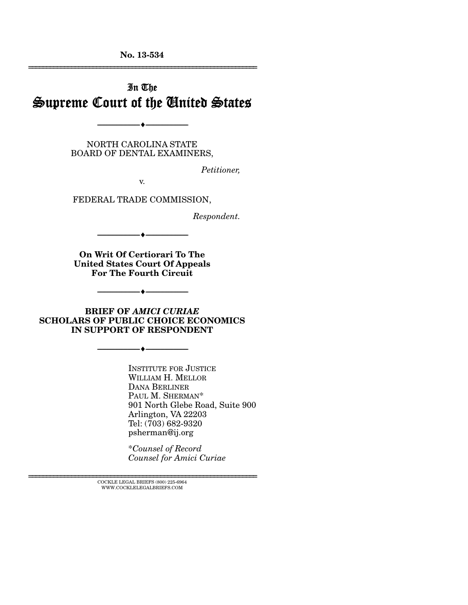**No. 13-534**  ================================================================

# In The Supreme Court of the United States

NORTH CAROLINA STATE BOARD OF DENTAL EXAMINERS,

--------------------------------- ---------------------------------

*Petitioner,* 

v.

FEDERAL TRADE COMMISSION,

*Respondent.* 

**On Writ Of Certiorari To The United States Court Of Appeals For The Fourth Circuit** 

--------------------------------- ---------------------------------

**BRIEF OF** *AMICI CURIAE* **SCHOLARS OF PUBLIC CHOICE ECONOMICS IN SUPPORT OF RESPONDENT** 

--------------------------------- ---------------------------------

--------------------------------- ---------------------------------

INSTITUTE FOR JUSTICE WILLIAM H. MELLOR DANA BERLINER PAUL M. SHERMAN\* 901 North Glebe Road, Suite 900 Arlington, VA 22203 Tel: (703) 682-9320 psherman@ij.org

\**Counsel of Record Counsel for Amici Curiae*

 $\textsc{COCKLE}$  LEGAL BRIEFS (800) 225-6964 WWW.COCKLELEGALBRIEFS.COM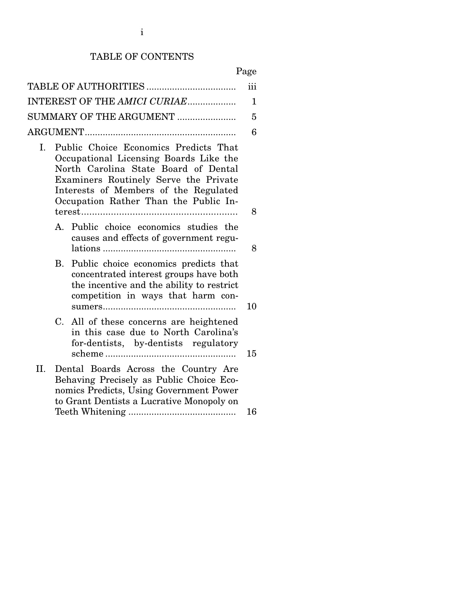# TABLE OF CONTENTS

## Page

| INTEREST OF THE AMICI CURIAE |                                                                                                                                                                                                                                                    |    |  |
|------------------------------|----------------------------------------------------------------------------------------------------------------------------------------------------------------------------------------------------------------------------------------------------|----|--|
| SUMMARY OF THE ARGUMENT      |                                                                                                                                                                                                                                                    |    |  |
|                              |                                                                                                                                                                                                                                                    |    |  |
| I.                           | Public Choice Economics Predicts That<br>Occupational Licensing Boards Like the<br>North Carolina State Board of Dental<br>Examiners Routinely Serve the Private<br>Interests of Members of the Regulated<br>Occupation Rather Than the Public In- | 8  |  |
|                              | A. Public choice economics studies the<br>causes and effects of government regu-                                                                                                                                                                   | 8  |  |
|                              | Public choice economics predicts that<br>B.<br>concentrated interest groups have both<br>the incentive and the ability to restrict<br>competition in ways that harm con-                                                                           | 10 |  |
|                              | $C_{\cdot}$<br>All of these concerns are heightened<br>in this case due to North Carolina's<br>for-dentists, by-dentists regulatory                                                                                                                | 15 |  |
| П.                           | Dental Boards Across the Country Are<br>Behaving Precisely as Public Choice Eco-<br>nomics Predicts, Using Government Power<br>to Grant Dentists a Lucrative Monopoly on                                                                           | 16 |  |
|                              |                                                                                                                                                                                                                                                    |    |  |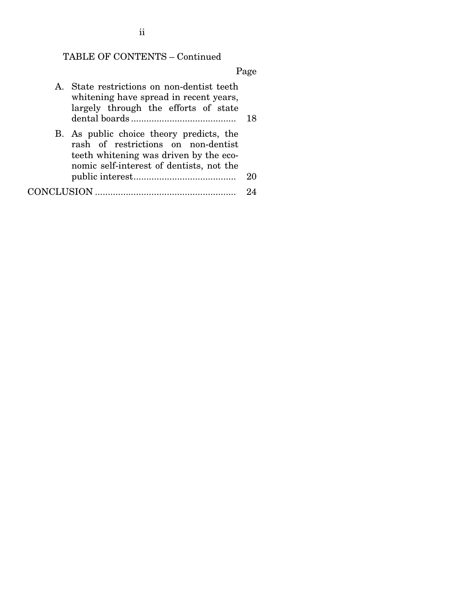# TABLE OF CONTENTS – Continued

## Page

|  | A. State restrictions on non-dentist teeth<br>whitening have spread in recent years,<br>largely through the efforts of state                                          | 18 |
|--|-----------------------------------------------------------------------------------------------------------------------------------------------------------------------|----|
|  | B. As public choice theory predicts, the<br>rash of restrictions on non-dentist<br>teeth whitening was driven by the eco-<br>nomic self-interest of dentists, not the |    |
|  |                                                                                                                                                                       | 20 |
|  |                                                                                                                                                                       |    |

ii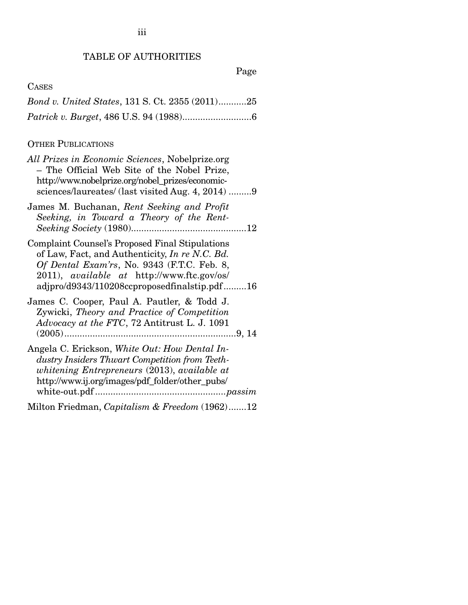### TABLE OF AUTHORITIES

Page

| <b>CASES</b>                                           |  |
|--------------------------------------------------------|--|
| <i>Bond v. United States, 131 S. Ct. 2355 (2011)25</i> |  |
|                                                        |  |

### OTHER PUBLICATIONS

| All Prizes in Economic Sciences, Nobelprize.org<br>- The Official Web Site of the Nobel Prize,<br>http://www.nobelprize.org/nobel_prizes/economic-<br>sciences/laureates/ (last visited Aug. 4, 2014) 9                                                      |
|--------------------------------------------------------------------------------------------------------------------------------------------------------------------------------------------------------------------------------------------------------------|
| James M. Buchanan, Rent Seeking and Profit<br>Seeking, in Toward a Theory of the Rent-                                                                                                                                                                       |
| <b>Complaint Counsel's Proposed Final Stipulations</b><br>of Law, Fact, and Authenticity, In re N.C. Bd.<br>Of Dental Exam'rs, No. 9343 (F.T.C. Feb. 8,<br>2011), <i>available at</i> http://www.ftc.gov/os/<br>adjpro/d9343/110208ccproposedfinalstip.pdf16 |
| James C. Cooper, Paul A. Pautler, & Todd J.<br>Zywicki, Theory and Practice of Competition<br>Advocacy at the FTC, 72 Antitrust L. J. 1091                                                                                                                   |
| Angela C. Erickson, White Out: How Dental In-<br>dustry Insiders Thwart Competition from Teeth-<br>whitening Entrepreneurs (2013), available at<br>http://www.ij.org/images/pdf_folder/other_pubs/                                                           |
| Milton Friedman, Capitalism & Freedom (1962)12                                                                                                                                                                                                               |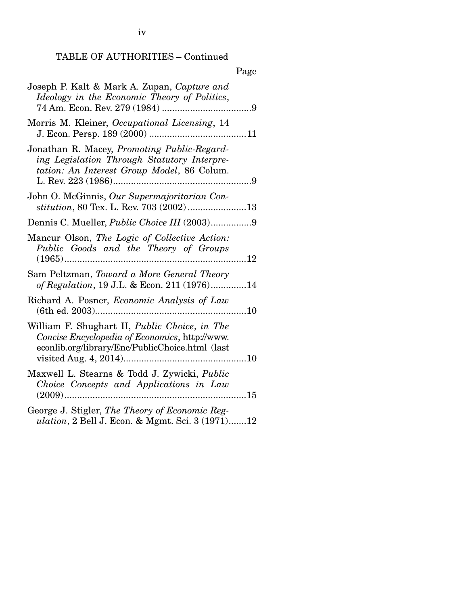iv

## TABLE OF AUTHORITIES – Continued

## Page

| Joseph P. Kalt & Mark A. Zupan, Capture and<br>Ideology in the Economic Theory of Politics,                                                        |  |
|----------------------------------------------------------------------------------------------------------------------------------------------------|--|
| Morris M. Kleiner, Occupational Licensing, 14                                                                                                      |  |
| Jonathan R. Macey, Promoting Public-Regard-<br>ing Legislation Through Statutory Interpre-<br>tation: An Interest Group Model, 86 Colum.           |  |
| John O. McGinnis, Our Supermajoritarian Con-<br>stitution, 80 Tex. L. Rev. 703 (2002) 13                                                           |  |
| Dennis C. Mueller, <i>Public Choice III</i> (2003)9                                                                                                |  |
| Mancur Olson, The Logic of Collective Action:<br>Public Goods and the Theory of Groups                                                             |  |
| Sam Peltzman, Toward a More General Theory<br>of Regulation, 19 J.L. & Econ. 211 (1976)14                                                          |  |
| Richard A. Posner, <i>Economic Analysis of Law</i>                                                                                                 |  |
| William F. Shughart II, Public Choice, in The<br>Concise Encyclopedia of Economics, http://www.<br>econlib.org/library/Enc/PublicChoice.html (last |  |
| Maxwell L. Stearns & Todd J. Zywicki, Public<br>Choice Concepts and Applications in Law                                                            |  |
| George J. Stigler, The Theory of Economic Reg-                                                                                                     |  |

*ulation*, 2 Bell J. Econ. & Mgmt. Sci. 3 (1971) ....... 12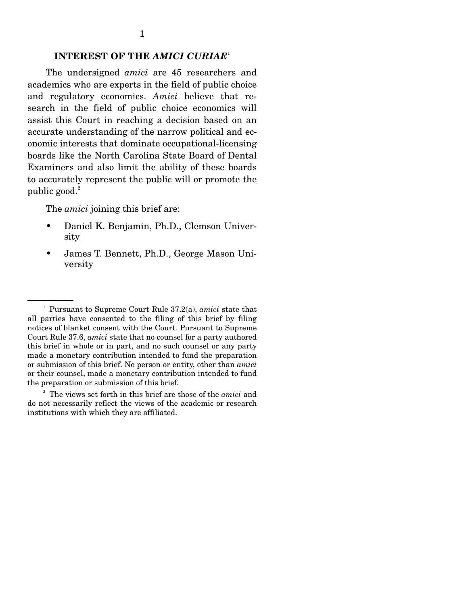#### **INTEREST OF THE** *AMICI CURIAE*<sup>1</sup>

The undersigned *amici* are 45 researchers and academics who are experts in the field of public choice and regulatory economics. *Amici* believe that research in the field of public choice economics will assist this Court in reaching a decision based on an accurate understanding of the narrow political and economic interests that dominate occupational-licensing boards like the North Carolina State Board of Dental Examiners and also limit the ability of these boards to accurately represent the public will or promote the public good.<sup>2</sup>

The *amici* joining this brief are:

- Daniel K. Benjamin, Ph.D., Clemson University
- James T. Bennett, Ph.D., George Mason University

2 The views set forth in this brief are those of the *amici* and do not necessarily reflect the views of the academic or research institutions with which they are affiliated.

<sup>1</sup> Pursuant to Supreme Court Rule 37.2(a), *amici* state that all parties have consented to the filing of this brief by filing notices of blanket consent with the Court. Pursuant to Supreme Court Rule 37.6, *amici* state that no counsel for a party authored this brief in whole or in part, and no such counsel or any party made a monetary contribution intended to fund the preparation or submission of this brief. No person or entity, other than *amici*  or their counsel, made a monetary contribution intended to fund the preparation or submission of this brief.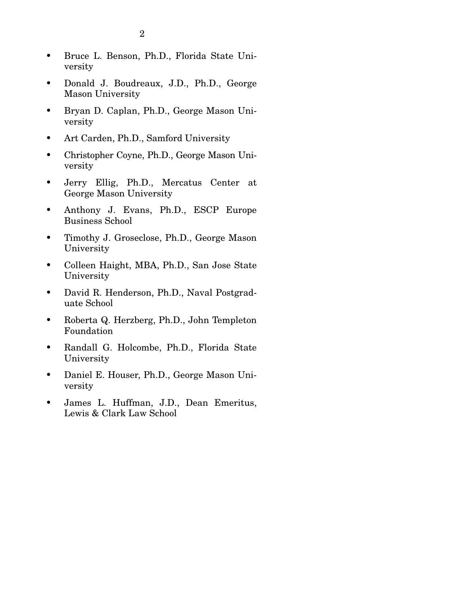- Bruce L. Benson, Ph.D., Florida State University
- Donald J. Boudreaux, J.D., Ph.D., George Mason University
- Bryan D. Caplan, Ph.D., George Mason University
- Art Carden, Ph.D., Samford University
- Christopher Coyne, Ph.D., George Mason University
- Jerry Ellig, Ph.D., Mercatus Center at George Mason University
- Anthony J. Evans, Ph.D., ESCP Europe Business School
- Timothy J. Groseclose, Ph.D., George Mason University
- Colleen Haight, MBA, Ph.D., San Jose State University
- David R. Henderson, Ph.D., Naval Postgraduate School
- Roberta Q. Herzberg, Ph.D., John Templeton Foundation
- Randall G. Holcombe, Ph.D., Florida State University
- Daniel E. Houser, Ph.D., George Mason University
- James L. Huffman, J.D., Dean Emeritus, Lewis & Clark Law School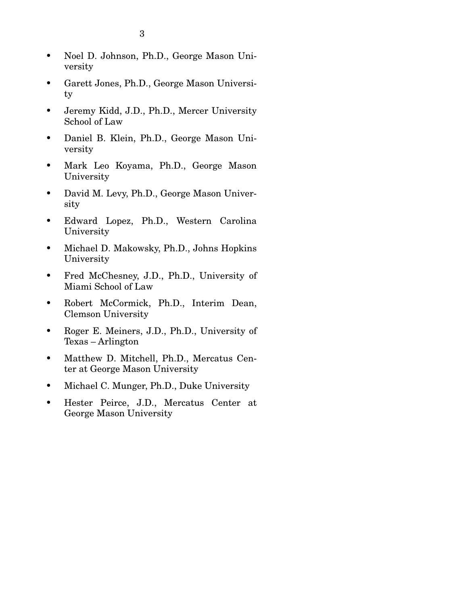3

- Garett Jones, Ph.D., George Mason University
- Jeremy Kidd, J.D., Ph.D., Mercer University School of Law
- Daniel B. Klein, Ph.D., George Mason University
- Mark Leo Koyama, Ph.D., George Mason University
- David M. Levy, Ph.D., George Mason University
- Edward Lopez, Ph.D., Western Carolina University
- Michael D. Makowsky, Ph.D., Johns Hopkins University
- Fred McChesney, J.D., Ph.D., University of Miami School of Law
- Robert McCormick, Ph.D., Interim Dean, Clemson University
- Roger E. Meiners, J.D., Ph.D., University of Texas – Arlington
- Matthew D. Mitchell, Ph.D., Mercatus Center at George Mason University
- Michael C. Munger, Ph.D., Duke University
- Hester Peirce, J.D., Mercatus Center at George Mason University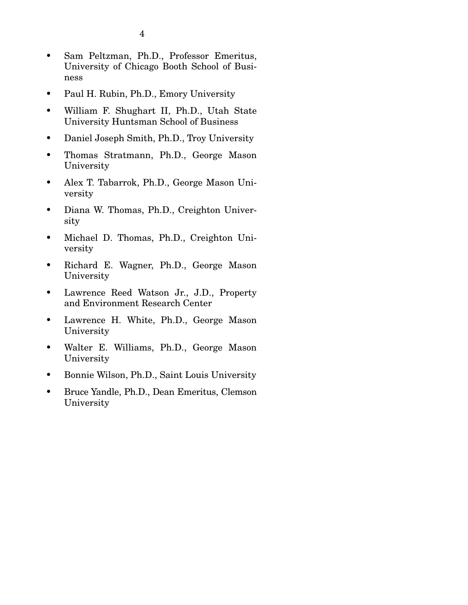- Sam Peltzman, Ph.D., Professor Emeritus, University of Chicago Booth School of Business
- Paul H. Rubin, Ph.D., Emory University
- William F. Shughart II, Ph.D., Utah State University Huntsman School of Business
- Daniel Joseph Smith, Ph.D., Troy University
- Thomas Stratmann, Ph.D., George Mason University
- Alex T. Tabarrok, Ph.D., George Mason University
- Diana W. Thomas, Ph.D., Creighton University
- Michael D. Thomas, Ph.D., Creighton University
- Richard E. Wagner, Ph.D., George Mason University
- Lawrence Reed Watson Jr., J.D., Property and Environment Research Center
- Lawrence H. White, Ph.D., George Mason University
- Walter E. Williams, Ph.D., George Mason University
- Bonnie Wilson, Ph.D., Saint Louis University
- Bruce Yandle, Ph.D., Dean Emeritus, Clemson University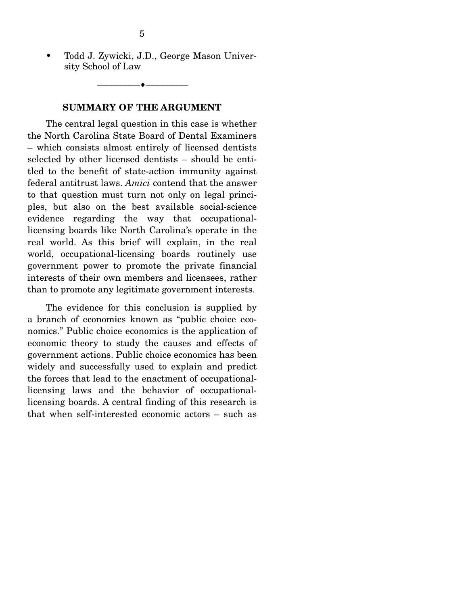• Todd J. Zywicki, J.D., George Mason University School of Law

--------------------------------- ---------------------------------

#### **SUMMARY OF THE ARGUMENT**

 The central legal question in this case is whether the North Carolina State Board of Dental Examiners – which consists almost entirely of licensed dentists selected by other licensed dentists – should be entitled to the benefit of state-action immunity against federal antitrust laws. *Amici* contend that the answer to that question must turn not only on legal principles, but also on the best available social-science evidence regarding the way that occupationallicensing boards like North Carolina's operate in the real world. As this brief will explain, in the real world, occupational-licensing boards routinely use government power to promote the private financial interests of their own members and licensees, rather than to promote any legitimate government interests.

 The evidence for this conclusion is supplied by a branch of economics known as "public choice economics." Public choice economics is the application of economic theory to study the causes and effects of government actions. Public choice economics has been widely and successfully used to explain and predict the forces that lead to the enactment of occupationallicensing laws and the behavior of occupationallicensing boards. A central finding of this research is that when self-interested economic actors – such as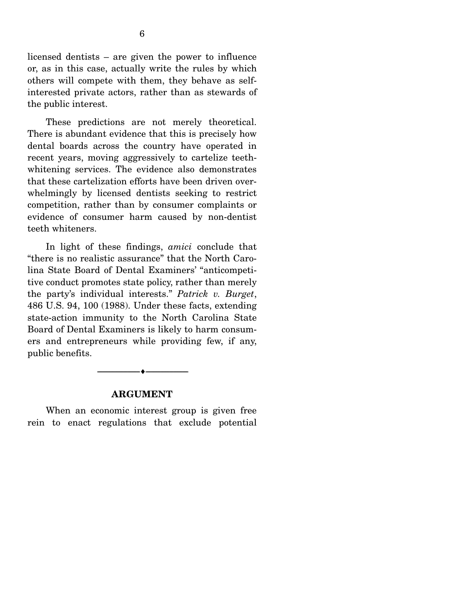licensed dentists – are given the power to influence or, as in this case, actually write the rules by which others will compete with them, they behave as selfinterested private actors, rather than as stewards of the public interest.

 These predictions are not merely theoretical. There is abundant evidence that this is precisely how dental boards across the country have operated in recent years, moving aggressively to cartelize teethwhitening services. The evidence also demonstrates that these cartelization efforts have been driven overwhelmingly by licensed dentists seeking to restrict competition, rather than by consumer complaints or evidence of consumer harm caused by non-dentist teeth whiteners.

 In light of these findings, *amici* conclude that "there is no realistic assurance" that the North Carolina State Board of Dental Examiners' "anticompetitive conduct promotes state policy, rather than merely the party's individual interests." *Patrick v. Burget*, 486 U.S. 94, 100 (1988). Under these facts, extending state-action immunity to the North Carolina State Board of Dental Examiners is likely to harm consumers and entrepreneurs while providing few, if any, public benefits.



#### **ARGUMENT**

When an economic interest group is given free rein to enact regulations that exclude potential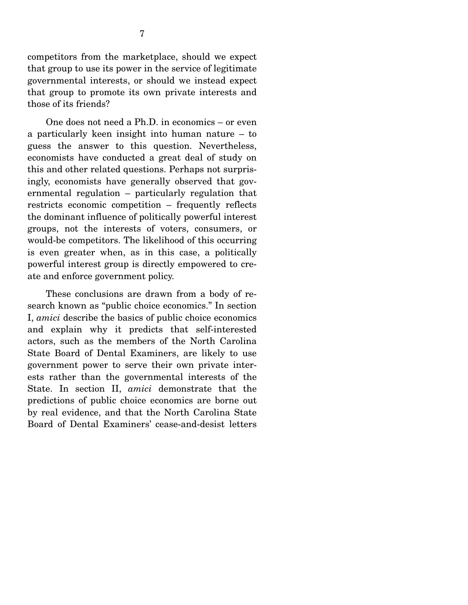competitors from the marketplace, should we expect that group to use its power in the service of legitimate governmental interests, or should we instead expect that group to promote its own private interests and those of its friends?

 One does not need a Ph.D. in economics – or even a particularly keen insight into human nature – to guess the answer to this question. Nevertheless, economists have conducted a great deal of study on this and other related questions. Perhaps not surprisingly, economists have generally observed that governmental regulation – particularly regulation that restricts economic competition – frequently reflects the dominant influence of politically powerful interest groups, not the interests of voters, consumers, or would-be competitors. The likelihood of this occurring is even greater when, as in this case, a politically powerful interest group is directly empowered to create and enforce government policy.

 These conclusions are drawn from a body of research known as "public choice economics." In section I, *amici* describe the basics of public choice economics and explain why it predicts that self-interested actors, such as the members of the North Carolina State Board of Dental Examiners, are likely to use government power to serve their own private interests rather than the governmental interests of the State. In section II, *amici* demonstrate that the predictions of public choice economics are borne out by real evidence, and that the North Carolina State Board of Dental Examiners' cease-and-desist letters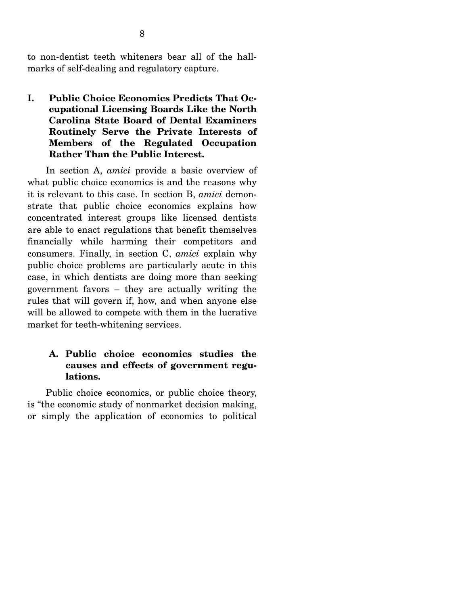to non-dentist teeth whiteners bear all of the hallmarks of self-dealing and regulatory capture.

**I. Public Choice Economics Predicts That Occupational Licensing Boards Like the North Carolina State Board of Dental Examiners Routinely Serve the Private Interests of Members of the Regulated Occupation Rather Than the Public Interest.** 

In section A, *amici* provide a basic overview of what public choice economics is and the reasons why it is relevant to this case. In section B, *amici* demonstrate that public choice economics explains how concentrated interest groups like licensed dentists are able to enact regulations that benefit themselves financially while harming their competitors and consumers. Finally, in section C, *amici* explain why public choice problems are particularly acute in this case, in which dentists are doing more than seeking government favors – they are actually writing the rules that will govern if, how, and when anyone else will be allowed to compete with them in the lucrative market for teeth-whitening services.

### **A. Public choice economics studies the causes and effects of government regulations.**

Public choice economics, or public choice theory, is "the economic study of nonmarket decision making, or simply the application of economics to political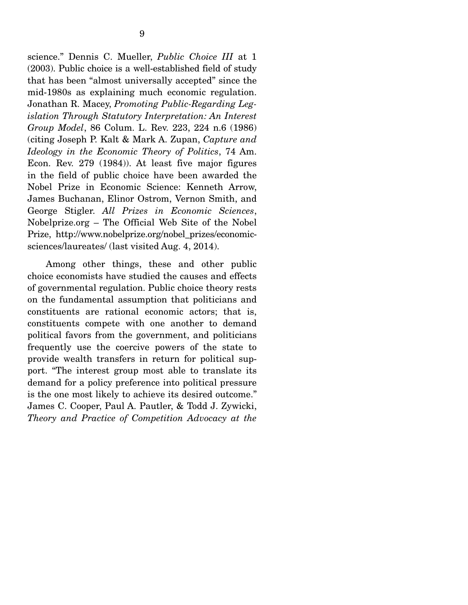science." Dennis C. Mueller, *Public Choice III* at 1 (2003). Public choice is a well-established field of study that has been "almost universally accepted" since the mid-1980s as explaining much economic regulation. Jonathan R. Macey, *Promoting Public-Regarding Legislation Through Statutory Interpretation: An Interest Group Model*, 86 Colum. L. Rev. 223, 224 n.6 (1986) (citing Joseph P. Kalt & Mark A. Zupan, *Capture and Ideology in the Economic Theory of Politics*, 74 Am. Econ. Rev. 279 (1984)). At least five major figures in the field of public choice have been awarded the Nobel Prize in Economic Science: Kenneth Arrow, James Buchanan, Elinor Ostrom, Vernon Smith, and George Stigler. *All Prizes in Economic Sciences*, Nobelprize.org – The Official Web Site of the Nobel Prize, http://www.nobelprize.org/nobel\_prizes/economicsciences/laureates/ (last visited Aug. 4, 2014).

 Among other things, these and other public choice economists have studied the causes and effects of governmental regulation. Public choice theory rests on the fundamental assumption that politicians and constituents are rational economic actors; that is, constituents compete with one another to demand political favors from the government, and politicians frequently use the coercive powers of the state to provide wealth transfers in return for political support. "The interest group most able to translate its demand for a policy preference into political pressure is the one most likely to achieve its desired outcome." James C. Cooper, Paul A. Pautler, & Todd J. Zywicki, *Theory and Practice of Competition Advocacy at the*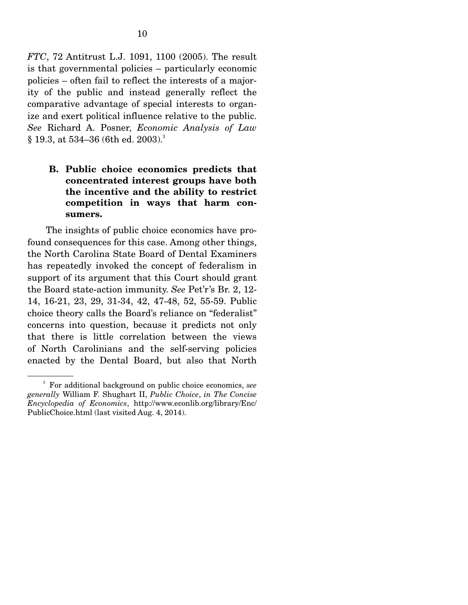*FTC*, 72 Antitrust L.J. 1091, 1100 (2005). The result is that governmental policies – particularly economic policies – often fail to reflect the interests of a majority of the public and instead generally reflect the comparative advantage of special interests to organize and exert political influence relative to the public. *See* Richard A. Posner, *Economic Analysis of Law*   $§$  19.3, at 534–36 (6th ed. 2003).<sup>3</sup>

### **B. Public choice economics predicts that concentrated interest groups have both the incentive and the ability to restrict competition in ways that harm consumers.**

The insights of public choice economics have profound consequences for this case. Among other things, the North Carolina State Board of Dental Examiners has repeatedly invoked the concept of federalism in support of its argument that this Court should grant the Board state-action immunity. *See* Pet'r's Br. 2, 12- 14, 16-21, 23, 29, 31-34, 42, 47-48, 52, 55-59. Public choice theory calls the Board's reliance on "federalist" concerns into question, because it predicts not only that there is little correlation between the views of North Carolinians and the self-serving policies enacted by the Dental Board, but also that North

<sup>3</sup> For additional background on public choice economics, *see generally* William F. Shughart II, *Public Choice*, *in The Concise Encyclopedia of Economics*, http://www.econlib.org/library/Enc/ PublicChoice.html (last visited Aug. 4, 2014).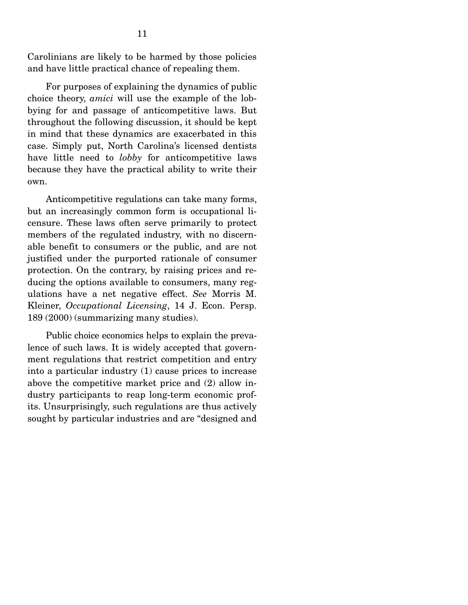Carolinians are likely to be harmed by those policies and have little practical chance of repealing them.

 For purposes of explaining the dynamics of public choice theory, *amici* will use the example of the lobbying for and passage of anticompetitive laws. But throughout the following discussion, it should be kept in mind that these dynamics are exacerbated in this case. Simply put, North Carolina's licensed dentists have little need to *lobby* for anticompetitive laws because they have the practical ability to write their own.

 Anticompetitive regulations can take many forms, but an increasingly common form is occupational licensure. These laws often serve primarily to protect members of the regulated industry, with no discernable benefit to consumers or the public, and are not justified under the purported rationale of consumer protection. On the contrary, by raising prices and reducing the options available to consumers, many regulations have a net negative effect. *See* Morris M. Kleiner, *Occupational Licensing*, 14 J. Econ. Persp. 189 (2000) (summarizing many studies).

 Public choice economics helps to explain the prevalence of such laws. It is widely accepted that government regulations that restrict competition and entry into a particular industry (1) cause prices to increase above the competitive market price and (2) allow industry participants to reap long-term economic profits. Unsurprisingly, such regulations are thus actively sought by particular industries and are "designed and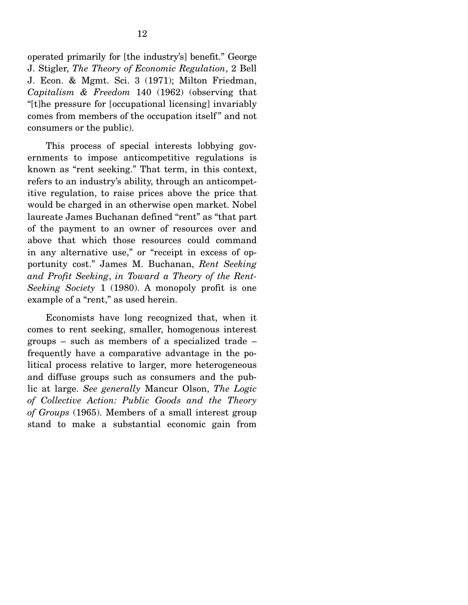operated primarily for [the industry's] benefit." George J. Stigler, *The Theory of Economic Regulation*, 2 Bell J. Econ. & Mgmt. Sci. 3 (1971); Milton Friedman, *Capitalism & Freedom* 140 (1962) (observing that "[t]he pressure for [occupational licensing] invariably comes from members of the occupation itself " and not consumers or the public).

 This process of special interests lobbying governments to impose anticompetitive regulations is known as "rent seeking." That term, in this context, refers to an industry's ability, through an anticompetitive regulation, to raise prices above the price that would be charged in an otherwise open market. Nobel laureate James Buchanan defined "rent" as "that part of the payment to an owner of resources over and above that which those resources could command in any alternative use," or "receipt in excess of opportunity cost." James M. Buchanan, *Rent Seeking and Profit Seeking*, *in Toward a Theory of the Rent-Seeking Society* 1 (1980). A monopoly profit is one example of a "rent," as used herein.

 Economists have long recognized that, when it comes to rent seeking, smaller, homogenous interest groups – such as members of a specialized trade – frequently have a comparative advantage in the political process relative to larger, more heterogeneous and diffuse groups such as consumers and the public at large. *See generally* Mancur Olson, *The Logic of Collective Action: Public Goods and the Theory of Groups* (1965). Members of a small interest group stand to make a substantial economic gain from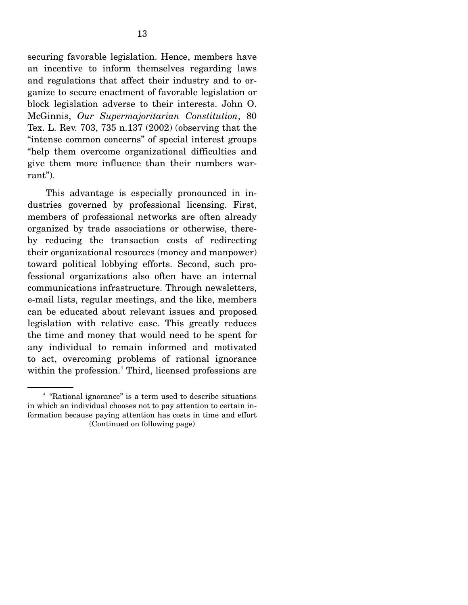securing favorable legislation. Hence, members have an incentive to inform themselves regarding laws and regulations that affect their industry and to organize to secure enactment of favorable legislation or block legislation adverse to their interests. John O. McGinnis, *Our Supermajoritarian Constitution*, 80 Tex. L. Rev. 703, 735 n.137 (2002) (observing that the "intense common concerns" of special interest groups "help them overcome organizational difficulties and give them more influence than their numbers warrant").

 This advantage is especially pronounced in industries governed by professional licensing. First, members of professional networks are often already organized by trade associations or otherwise, thereby reducing the transaction costs of redirecting their organizational resources (money and manpower) toward political lobbying efforts. Second, such professional organizations also often have an internal communications infrastructure. Through newsletters, e-mail lists, regular meetings, and the like, members can be educated about relevant issues and proposed legislation with relative ease. This greatly reduces the time and money that would need to be spent for any individual to remain informed and motivated to act, overcoming problems of rational ignorance within the profession.<sup>4</sup> Third, licensed professions are

<sup>4</sup> "Rational ignorance" is a term used to describe situations in which an individual chooses not to pay attention to certain information because paying attention has costs in time and effort (Continued on following page)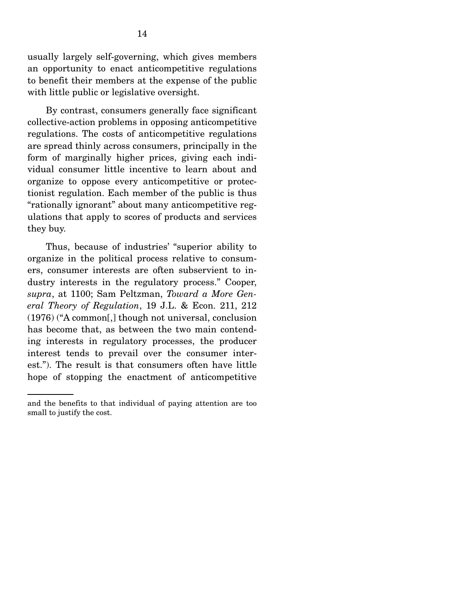usually largely self-governing, which gives members an opportunity to enact anticompetitive regulations to benefit their members at the expense of the public with little public or legislative oversight.

 By contrast, consumers generally face significant collective-action problems in opposing anticompetitive regulations. The costs of anticompetitive regulations are spread thinly across consumers, principally in the form of marginally higher prices, giving each individual consumer little incentive to learn about and organize to oppose every anticompetitive or protectionist regulation. Each member of the public is thus "rationally ignorant" about many anticompetitive regulations that apply to scores of products and services they buy.

 Thus, because of industries' "superior ability to organize in the political process relative to consumers, consumer interests are often subservient to industry interests in the regulatory process." Cooper, *supra*, at 1100; Sam Peltzman, *Toward a More General Theory of Regulation*, 19 J.L. & Econ. 211, 212 (1976) ("A common[,] though not universal, conclusion has become that, as between the two main contending interests in regulatory processes, the producer interest tends to prevail over the consumer interest."). The result is that consumers often have little hope of stopping the enactment of anticompetitive

and the benefits to that individual of paying attention are too small to justify the cost.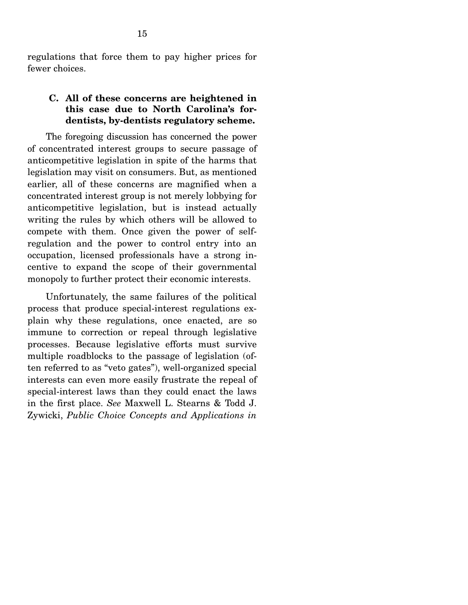regulations that force them to pay higher prices for fewer choices.

#### **C. All of these concerns are heightened in this case due to North Carolina's fordentists, by-dentists regulatory scheme.**

The foregoing discussion has concerned the power of concentrated interest groups to secure passage of anticompetitive legislation in spite of the harms that legislation may visit on consumers. But, as mentioned earlier, all of these concerns are magnified when a concentrated interest group is not merely lobbying for anticompetitive legislation, but is instead actually writing the rules by which others will be allowed to compete with them. Once given the power of selfregulation and the power to control entry into an occupation, licensed professionals have a strong incentive to expand the scope of their governmental monopoly to further protect their economic interests.

 Unfortunately, the same failures of the political process that produce special-interest regulations explain why these regulations, once enacted, are so immune to correction or repeal through legislative processes. Because legislative efforts must survive multiple roadblocks to the passage of legislation (often referred to as "veto gates"), well-organized special interests can even more easily frustrate the repeal of special-interest laws than they could enact the laws in the first place. *See* Maxwell L. Stearns & Todd J. Zywicki, *Public Choice Concepts and Applications in*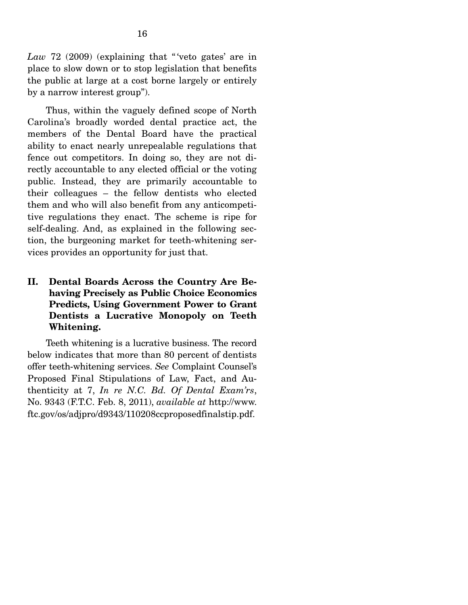Law 72 (2009) (explaining that "veto gates' are in place to slow down or to stop legislation that benefits the public at large at a cost borne largely or entirely by a narrow interest group").

 Thus, within the vaguely defined scope of North Carolina's broadly worded dental practice act, the members of the Dental Board have the practical ability to enact nearly unrepealable regulations that fence out competitors. In doing so, they are not directly accountable to any elected official or the voting public. Instead, they are primarily accountable to their colleagues – the fellow dentists who elected them and who will also benefit from any anticompetitive regulations they enact. The scheme is ripe for self-dealing. And, as explained in the following section, the burgeoning market for teeth-whitening services provides an opportunity for just that.

### **II. Dental Boards Across the Country Are Behaving Precisely as Public Choice Economics Predicts, Using Government Power to Grant Dentists a Lucrative Monopoly on Teeth Whitening.**

Teeth whitening is a lucrative business. The record below indicates that more than 80 percent of dentists offer teeth-whitening services. *See* Complaint Counsel's Proposed Final Stipulations of Law, Fact, and Authenticity at 7, *In re N.C. Bd. Of Dental Exam'rs*, No. 9343 (F.T.C. Feb. 8, 2011), *available at* http://www. ftc.gov/os/adjpro/d9343/110208ccproposedfinalstip.pdf.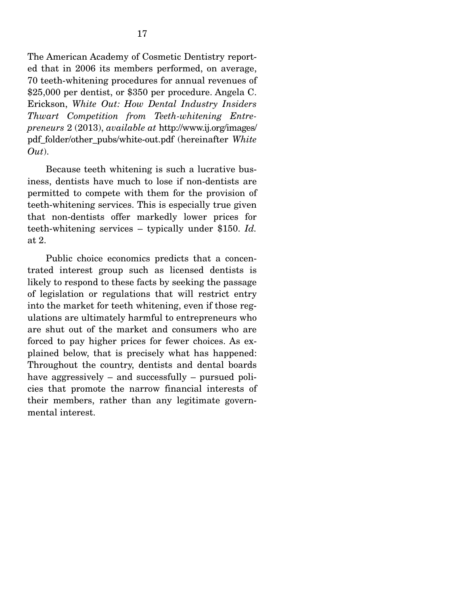The American Academy of Cosmetic Dentistry reported that in 2006 its members performed, on average, 70 teeth-whitening procedures for annual revenues of \$25,000 per dentist, or \$350 per procedure. Angela C. Erickson, *White Out: How Dental Industry Insiders Thwart Competition from Teeth-whitening Entrepreneurs* 2 (2013), *available at* http://www.ij.org/images/ pdf\_folder/other\_pubs/white-out.pdf (hereinafter *White Out*).

 Because teeth whitening is such a lucrative business, dentists have much to lose if non-dentists are permitted to compete with them for the provision of teeth-whitening services. This is especially true given that non-dentists offer markedly lower prices for teeth-whitening services – typically under \$150. *Id.* at 2.

 Public choice economics predicts that a concentrated interest group such as licensed dentists is likely to respond to these facts by seeking the passage of legislation or regulations that will restrict entry into the market for teeth whitening, even if those regulations are ultimately harmful to entrepreneurs who are shut out of the market and consumers who are forced to pay higher prices for fewer choices. As explained below, that is precisely what has happened: Throughout the country, dentists and dental boards have aggressively – and successfully – pursued policies that promote the narrow financial interests of their members, rather than any legitimate governmental interest.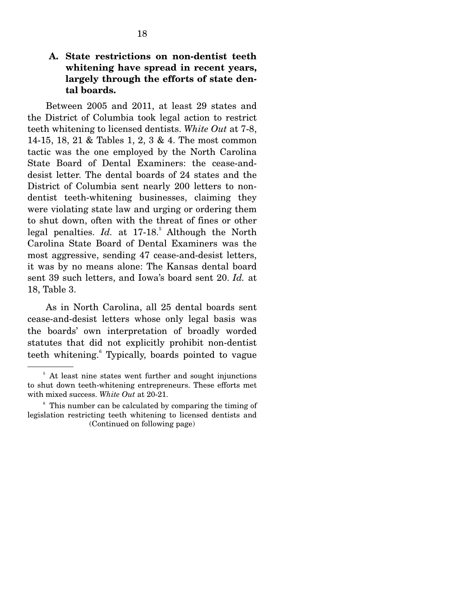#### **A. State restrictions on non-dentist teeth whitening have spread in recent years, largely through the efforts of state dental boards.**

Between 2005 and 2011, at least 29 states and the District of Columbia took legal action to restrict teeth whitening to licensed dentists. *White Out* at 7-8, 14-15, 18, 21 & Tables 1, 2, 3 & 4. The most common tactic was the one employed by the North Carolina State Board of Dental Examiners: the cease-anddesist letter. The dental boards of 24 states and the District of Columbia sent nearly 200 letters to nondentist teeth-whitening businesses, claiming they were violating state law and urging or ordering them to shut down, often with the threat of fines or other legal penalties. *Id.* at 17-18.<sup>5</sup> Although the North Carolina State Board of Dental Examiners was the most aggressive, sending 47 cease-and-desist letters, it was by no means alone: The Kansas dental board sent 39 such letters, and Iowa's board sent 20. *Id.* at 18, Table 3.

 As in North Carolina, all 25 dental boards sent cease-and-desist letters whose only legal basis was the boards' own interpretation of broadly worded statutes that did not explicitly prohibit non-dentist teeth whitening.<sup>6</sup> Typically, boards pointed to vague

<sup>&</sup>lt;sup>5</sup> At least nine states went further and sought injunctions to shut down teeth-whitening entrepreneurs. These efforts met with mixed success. *White Out* at 20-21.

<sup>6</sup> This number can be calculated by comparing the timing of legislation restricting teeth whitening to licensed dentists and (Continued on following page)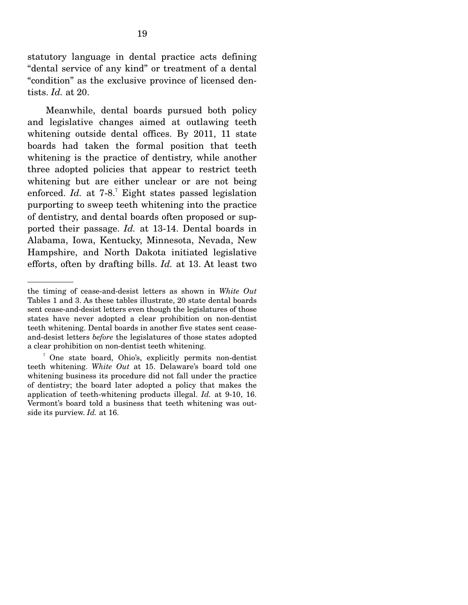statutory language in dental practice acts defining "dental service of any kind" or treatment of a dental "condition" as the exclusive province of licensed dentists. *Id.* at 20.

 Meanwhile, dental boards pursued both policy and legislative changes aimed at outlawing teeth whitening outside dental offices. By 2011, 11 state boards had taken the formal position that teeth whitening is the practice of dentistry, while another three adopted policies that appear to restrict teeth whitening but are either unclear or are not being enforced. *Id.* at 7-8.<sup>7</sup> Eight states passed legislation purporting to sweep teeth whitening into the practice of dentistry, and dental boards often proposed or supported their passage. *Id.* at 13-14. Dental boards in Alabama, Iowa, Kentucky, Minnesota, Nevada, New Hampshire, and North Dakota initiated legislative efforts, often by drafting bills. *Id.* at 13. At least two

the timing of cease-and-desist letters as shown in *White Out* Tables 1 and 3. As these tables illustrate, 20 state dental boards sent cease-and-desist letters even though the legislatures of those states have never adopted a clear prohibition on non-dentist teeth whitening. Dental boards in another five states sent ceaseand-desist letters *before* the legislatures of those states adopted a clear prohibition on non-dentist teeth whitening.

<sup>7</sup> One state board, Ohio's, explicitly permits non-dentist teeth whitening. *White Out* at 15. Delaware's board told one whitening business its procedure did not fall under the practice of dentistry; the board later adopted a policy that makes the application of teeth-whitening products illegal. *Id.* at 9-10, 16. Vermont's board told a business that teeth whitening was outside its purview. *Id.* at 16.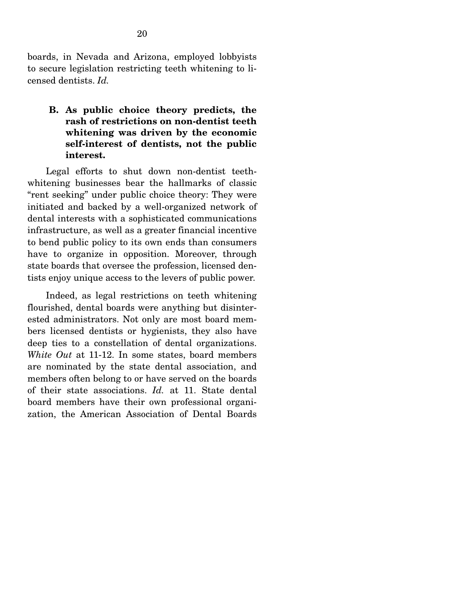boards, in Nevada and Arizona, employed lobbyists to secure legislation restricting teeth whitening to licensed dentists. *Id.* 

**B. As public choice theory predicts, the rash of restrictions on non-dentist teeth whitening was driven by the economic self-interest of dentists, not the public interest.** 

Legal efforts to shut down non-dentist teethwhitening businesses bear the hallmarks of classic "rent seeking" under public choice theory: They were initiated and backed by a well-organized network of dental interests with a sophisticated communications infrastructure, as well as a greater financial incentive to bend public policy to its own ends than consumers have to organize in opposition. Moreover, through state boards that oversee the profession, licensed dentists enjoy unique access to the levers of public power.

 Indeed, as legal restrictions on teeth whitening flourished, dental boards were anything but disinterested administrators. Not only are most board members licensed dentists or hygienists, they also have deep ties to a constellation of dental organizations. *White Out* at 11-12. In some states, board members are nominated by the state dental association, and members often belong to or have served on the boards of their state associations. *Id.* at 11. State dental board members have their own professional organization, the American Association of Dental Boards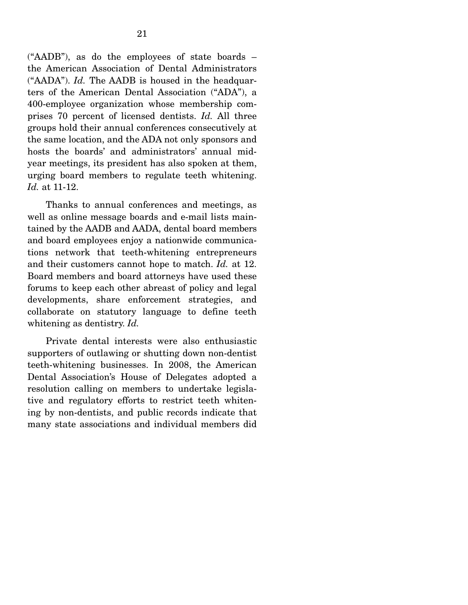("AADB"), as do the employees of state boards – the American Association of Dental Administrators ("AADA"). *Id.* The AADB is housed in the headquarters of the American Dental Association ("ADA"), a 400-employee organization whose membership comprises 70 percent of licensed dentists. *Id.* All three groups hold their annual conferences consecutively at the same location, and the ADA not only sponsors and hosts the boards' and administrators' annual midyear meetings, its president has also spoken at them, urging board members to regulate teeth whitening. *Id.* at 11-12.

 Thanks to annual conferences and meetings, as well as online message boards and e-mail lists maintained by the AADB and AADA, dental board members and board employees enjoy a nationwide communications network that teeth-whitening entrepreneurs and their customers cannot hope to match. *Id.* at 12. Board members and board attorneys have used these forums to keep each other abreast of policy and legal developments, share enforcement strategies, and collaborate on statutory language to define teeth whitening as dentistry. *Id.*

 Private dental interests were also enthusiastic supporters of outlawing or shutting down non-dentist teeth-whitening businesses. In 2008, the American Dental Association's House of Delegates adopted a resolution calling on members to undertake legislative and regulatory efforts to restrict teeth whitening by non-dentists, and public records indicate that many state associations and individual members did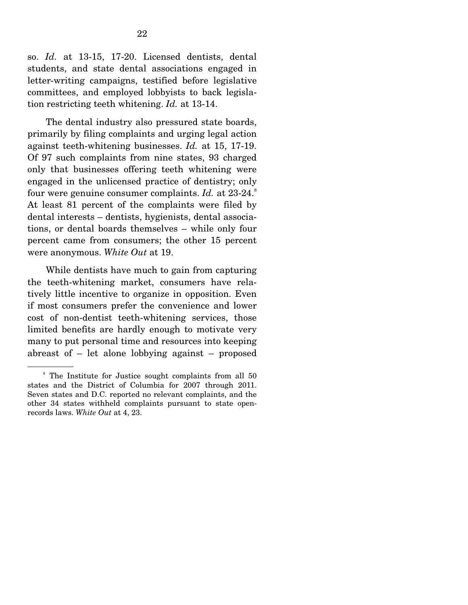so. *Id.* at 13-15, 17-20. Licensed dentists, dental students, and state dental associations engaged in letter-writing campaigns, testified before legislative committees, and employed lobbyists to back legislation restricting teeth whitening. *Id.* at 13-14.

 The dental industry also pressured state boards, primarily by filing complaints and urging legal action against teeth-whitening businesses. *Id.* at 15, 17-19. Of 97 such complaints from nine states, 93 charged only that businesses offering teeth whitening were engaged in the unlicensed practice of dentistry; only four were genuine consumer complaints. *Id.* at 23-24.<sup>8</sup> At least 81 percent of the complaints were filed by dental interests – dentists, hygienists, dental associations, or dental boards themselves – while only four percent came from consumers; the other 15 percent were anonymous. *White Out* at 19.

 While dentists have much to gain from capturing the teeth-whitening market, consumers have relatively little incentive to organize in opposition. Even if most consumers prefer the convenience and lower cost of non-dentist teeth-whitening services, those limited benefits are hardly enough to motivate very many to put personal time and resources into keeping abreast of – let alone lobbying against – proposed

<sup>&</sup>lt;sup>8</sup> The Institute for Justice sought complaints from all 50 states and the District of Columbia for 2007 through 2011. Seven states and D.C. reported no relevant complaints, and the other 34 states withheld complaints pursuant to state openrecords laws. *White Out* at 4, 23.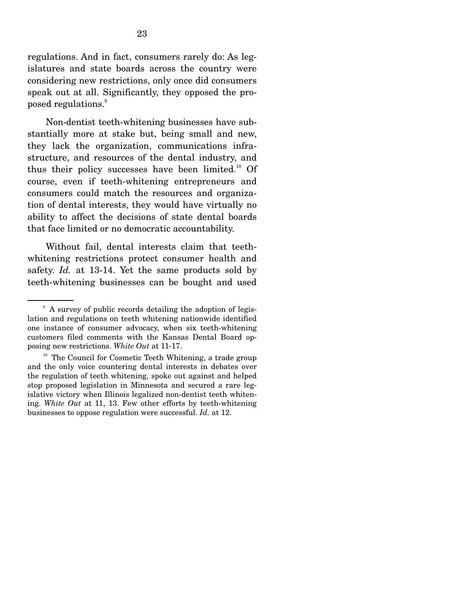regulations. And in fact, consumers rarely do: As legislatures and state boards across the country were considering new restrictions, only once did consumers speak out at all. Significantly, they opposed the pro- $_{\rm posed}$  regulations. $_{\rm }^{\rm 9}$ 

 Non-dentist teeth-whitening businesses have substantially more at stake but, being small and new, they lack the organization, communications infrastructure, and resources of the dental industry, and thus their policy successes have been limited. $10^{\circ}$  Of course, even if teeth-whitening entrepreneurs and consumers could match the resources and organization of dental interests, they would have virtually no ability to affect the decisions of state dental boards that face limited or no democratic accountability.

 Without fail, dental interests claim that teethwhitening restrictions protect consumer health and safety. *Id.* at 13-14. Yet the same products sold by teeth-whitening businesses can be bought and used

<sup>&</sup>lt;sup>9</sup> A survey of public records detailing the adoption of legislation and regulations on teeth whitening nationwide identified one instance of consumer advocacy, when six teeth-whitening customers filed comments with the Kansas Dental Board opposing new restrictions. *White Out* at 11-17.

<sup>&</sup>lt;sup>10</sup> The Council for Cosmetic Teeth Whitening, a trade group and the only voice countering dental interests in debates over the regulation of teeth whitening, spoke out against and helped stop proposed legislation in Minnesota and secured a rare legislative victory when Illinois legalized non-dentist teeth whitening. *White Out* at 11, 13. Few other efforts by teeth-whitening businesses to oppose regulation were successful. *Id.* at 12.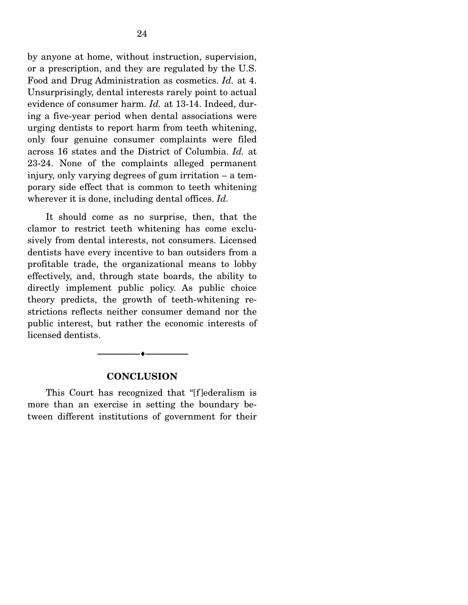by anyone at home, without instruction, supervision, or a prescription, and they are regulated by the U.S. Food and Drug Administration as cosmetics. *Id.* at 4. Unsurprisingly, dental interests rarely point to actual evidence of consumer harm. *Id.* at 13-14. Indeed, during a five-year period when dental associations were urging dentists to report harm from teeth whitening, only four genuine consumer complaints were filed across 16 states and the District of Columbia. *Id.* at 23-24. None of the complaints alleged permanent injury, only varying degrees of gum irritation – a temporary side effect that is common to teeth whitening wherever it is done, including dental offices. *Id.*

 It should come as no surprise, then, that the clamor to restrict teeth whitening has come exclusively from dental interests, not consumers. Licensed dentists have every incentive to ban outsiders from a profitable trade, the organizational means to lobby effectively, and, through state boards, the ability to directly implement public policy. As public choice theory predicts, the growth of teeth-whitening restrictions reflects neither consumer demand nor the public interest, but rather the economic interests of licensed dentists.

#### **CONCLUSION**

--------------------------------- ---------------------------------

This Court has recognized that "[f]ederalism is more than an exercise in setting the boundary between different institutions of government for their